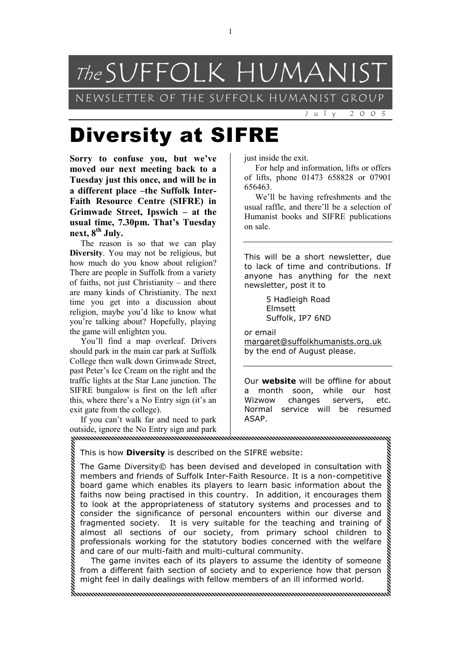

## Diversity at SIFRE

**Sorry to confuse you, but we've moved our next meeting back to a Tuesday just this once, and will be in a different place –the Suffolk Inter-Faith Resource Centre (SIFRE) in Grimwade Street, Ipswich – at the usual time, 7.30pm. That's Tuesday next, 8th July.** 

The reason is so that we can play **Diversity**. You may not be religious, but how much do you know about religion? There are people in Suffolk from a variety of faiths, not just Christianity – and there are many kinds of Christianity. The next time you get into a discussion about religion, maybe you'd like to know what you're talking about? Hopefully, playing the game will enlighten you.

You'll find a map overleaf. Drivers should park in the main car park at Suffolk College then walk down Grimwade Street, past Peter's Ice Cream on the right and the traffic lights at the Star Lane junction. The SIFRE bungalow is first on the left after this, where there's a No Entry sign (it's an exit gate from the college).

If you can't walk far and need to park outside, ignore the No Entry sign and park 

just inside the exit.

For help and information, lifts or offers of lifts, phone 01473 658828 or 07901 656463.

We'll be having refreshments and the usual raffle, and there'll be a selection of Humanist books and SIFRE publications on sale.

This will be a short newsletter, due to lack of time and contributions. If anyone has anything for the next newsletter, post it to

> 5 Hadleigh Road Elmsett Suffolk, IP7 6ND

or email [margaret@suffolkhumanists.org.uk](mailto:margaret@suffolkhumanists.org.uk) by the end of August please.

Our **website** will be offline for about a month soon, while our host Wizwow changes servers, etc. Normal service will be resumed ASAP.

This is how **Diversity** is described on the SIFRE website:

The Game Diversity© has been devised and developed in consultation with members and friends of Suffolk Inter-Faith Resource. It is a non-competitive board game which enables its players to learn basic information about the faiths now being practised in this country. In addition, it encourages them to look at the appropriateness of statutory systems and processes and to consider the significance of personal encounters within our diverse and fragmented society. It is very suitable for the teaching and training of almost all sections of our society, from primary school children to professionals working for the statutory bodies concerned with the welfare and care of our multi-faith and multi-cultural community.

The game invites each of its players to assume the identity of someone from a different faith section of society and to experience how that person might feel in daily dealings with fellow members of an ill informed world.